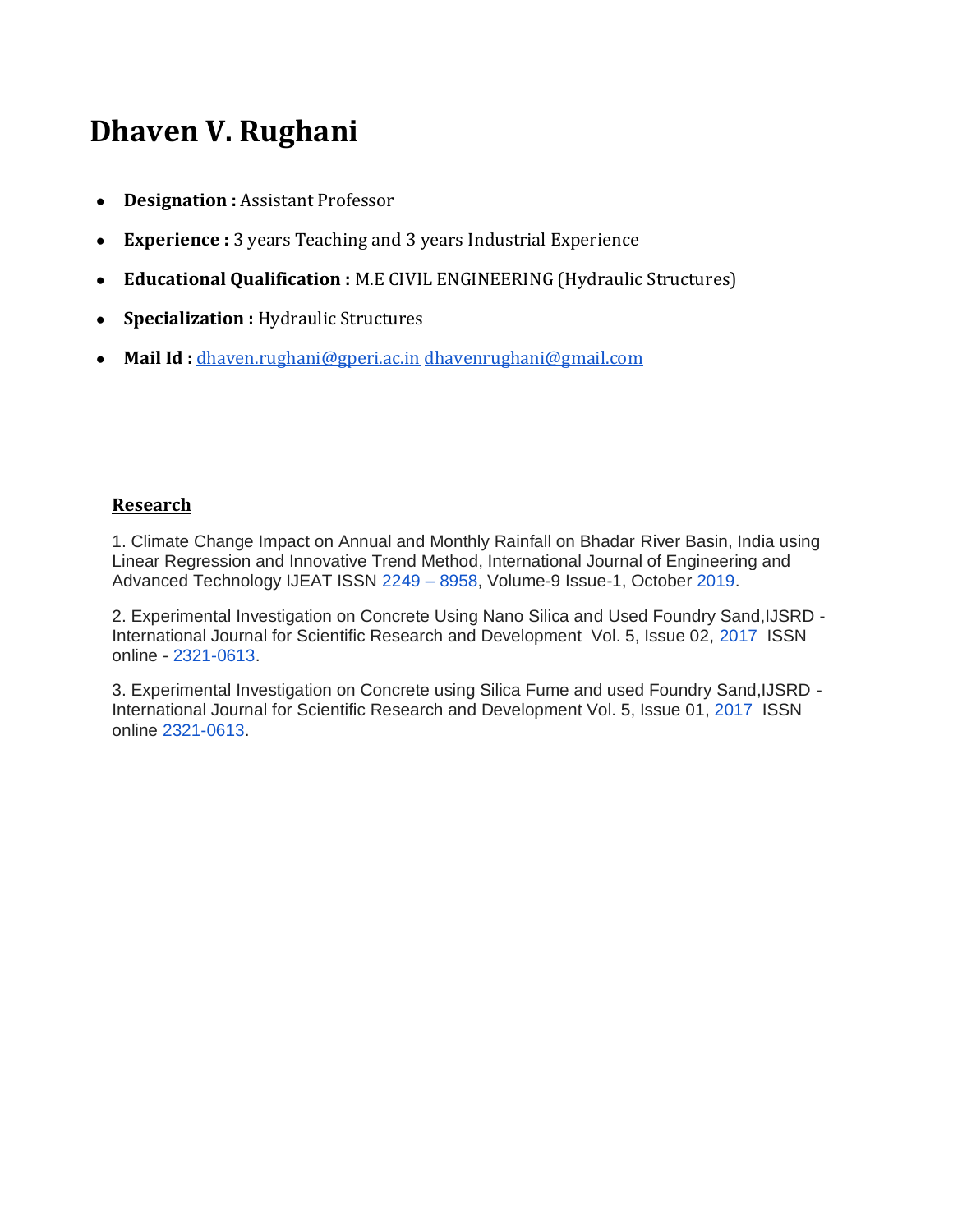## **Dhaven V. Rughani**

- **Designation :** Assistant Professor
- **Experience :** 3 years Teaching and 3 years Industrial Experience
- **Educational Qualification :** M.E CIVIL ENGINEERING (Hydraulic Structures)
- **Specialization :** Hydraulic Structures
- **Mail Id :** [dhaven.rughani@gperi.ac.in](mailto:dhaven.rughani@gperi.ac.in) [dhavenrughani@gmail.com](mailto:dhavenrughani@gmail.com)

## **Research**

1. Climate Change Impact on Annual and Monthly Rainfall on Bhadar River Basin, India using Linear Regression and Innovative Trend Method, International Journal of Engineering and Advanced Technology IJEAT ISSN 2249 – 8958, Volume-9 Issue-1, October 2019.

2. Experimental Investigation on Concrete Using Nano Silica and Used Foundry Sand,IJSRD - International Journal for Scientific Research and Development Vol. 5, Issue 02, 2017 ISSN online - 2321-0613.

3. Experimental Investigation on Concrete using Silica Fume and used Foundry Sand,IJSRD - International Journal for Scientific Research and Development Vol. 5, Issue 01, 2017 ISSN online 2321-0613.